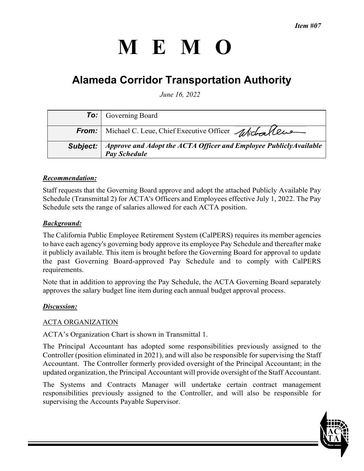# **MEMO**

# **Alameda Corridor Transportation Authority**

*June 16, 2022* 

|          | <b>To:</b> Governing Board                                                               |
|----------|------------------------------------------------------------------------------------------|
|          | From: Michael C. Leue, Chief Executive Officer Michaelleus                               |
| Subject: | Approve and Adopt the ACTA Officer and Employee PubliclyAvailable<br><b>Pay Schedule</b> |

# *Recommendation:*

Staff requests that the Governing Board approve and adopt the attached Publicly Available Pay Schedule (Transmittal 2) for ACTA's Officers and Employees effective July 1, 2022. The Pay Schedule sets the range of salaries allowed for each ACTA position.

# *Background:*

The California Public Employee Retirement System (CalPERS) requires its member agencies to have each agency's governing body approve its employee Pay Schedule and thereafter make it publicly available. This item is brought before the Governing Board for approval to update the past Governing Board-approved Pay Schedule and to comply with CalPERS requirements.

Note that in addition to approving the Pay Schedule, the ACTA Governing Board separately approves the salary budget line item during each annual budget approval process.

#### *Discussion:*

#### ACTA ORGANIZATION

ACTA's Organization Chart is shown in Transmittal 1.

The Principal Accountant has adopted some responsibilities previously assigned to the Controller (position eliminated in 2021), and will also be responsible for supervising the Staff Accountant. The Controller formerly provided oversight of the Principal Accountant; in the updated organization, the Principal Accountant will provide oversight of the Staff Accountant.

The Systems and Contracts Manager will undertake certain contract management responsibilities previously assigned to the Controller, and will also be responsible for supervising the Accounts Payable Supervisor.